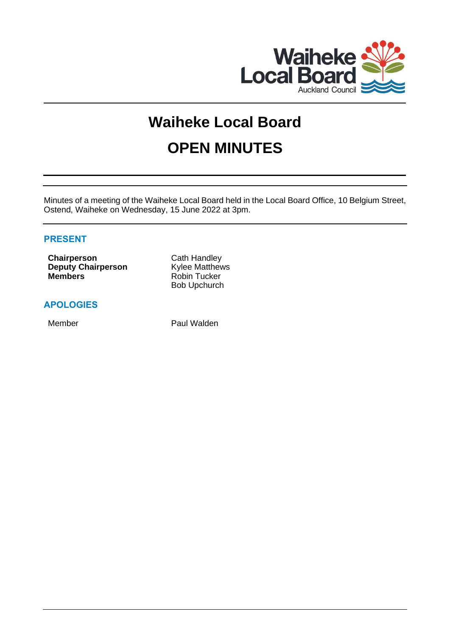

# **Waiheke Local Board OPEN MINUTES**

Minutes of a meeting of the Waiheke Local Board held in the Local Board Office, 10 Belgium Street, Ostend, Waiheke on Wednesday, 15 June 2022 at 3pm.

# **PRESENT**

**Chairperson** Cath Handley **Deputy Chairperson** Kylee Matthews **Members** Robin Tucker

Bob Upchurch

# **APOLOGIES**

Member **Paul Walden**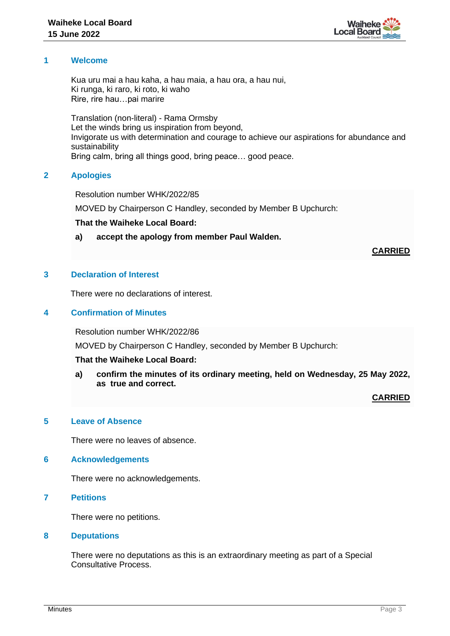

# **1 Welcome**

Kua uru mai a hau kaha, a hau maia, a hau ora, a hau nui, Ki runga, ki raro, ki roto, ki waho Rire, rire hau…pai marire

Translation (non-literal) - Rama Ormsby Let the winds bring us inspiration from beyond, Invigorate us with determination and courage to achieve our aspirations for abundance and sustainability Bring calm, bring all things good, bring peace… good peace.

# **2 Apologies**

Resolution number WHK/2022/85

MOVED by Chairperson C Handley, seconded by Member B Upchurch:

# **That the Waiheke Local Board:**

**a) accept the apology from member Paul Walden.**

**CARRIED**

# **3 Declaration of Interest**

There were no declarations of interest.

# **4 Confirmation of Minutes**

Resolution number WHK/2022/86

MOVED by Chairperson C Handley, seconded by Member B Upchurch:

# **That the Waiheke Local Board:**

**a) confirm the minutes of its ordinary meeting, held on Wednesday, 25 May 2022, as true and correct.**

**CARRIED**

# **5 Leave of Absence**

There were no leaves of absence.

#### **6 Acknowledgements**

There were no acknowledgements.

**7 Petitions**

There were no petitions.

#### **8 Deputations**

There were no deputations as this is an extraordinary meeting as part of a Special Consultative Process.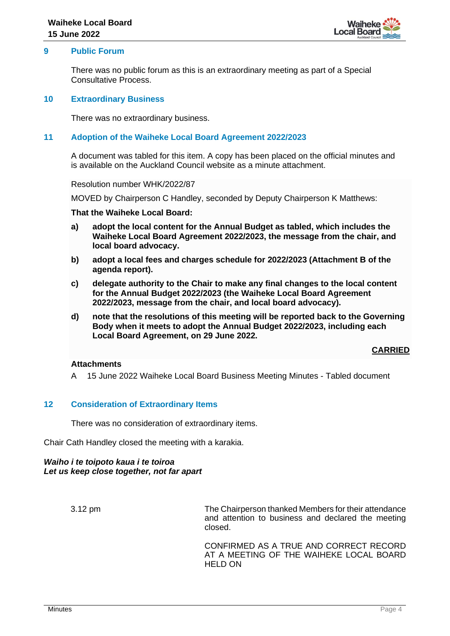

# **9 Public Forum**

There was no public forum as this is an extraordinary meeting as part of a Special Consultative Process.

#### **10 Extraordinary Business**

There was no extraordinary business.

# **11 Adoption of the Waiheke Local Board Agreement 2022/2023**

A document was tabled for this item. A copy has been placed on the official minutes and is available on the Auckland Council website as a minute attachment.

Resolution number WHK/2022/87

MOVED by Chairperson C Handley, seconded by Deputy Chairperson K Matthews:

#### **That the Waiheke Local Board:**

- **a) adopt the local content for the Annual Budget as tabled, which includes the Waiheke Local Board Agreement 2022/2023, the message from the chair, and local board advocacy.**
- **b) adopt a local fees and charges schedule for 2022/2023 (Attachment B of the agenda report).**
- **c) delegate authority to the Chair to make any final changes to the local content for the Annual Budget 2022/2023 (the Waiheke Local Board Agreement 2022/2023, message from the chair, and local board advocacy).**
- **d) note that the resolutions of this meeting will be reported back to the Governing Body when it meets to adopt the Annual Budget 2022/2023, including each Local Board Agreement, on 29 June 2022.**

#### **CARRIED**

#### **Attachments**

A 15 June 2022 Waiheke Local Board Business Meeting Minutes - Tabled document

#### **12 Consideration of Extraordinary Items**

There was no consideration of extraordinary items.

Chair Cath Handley closed the meeting with a karakia.

#### *Waiho i te toipoto kaua i te toiroa Let us keep close together, not far apart*

3.12 pm The Chairperson thanked Members for their attendance and attention to business and declared the meeting closed.

> CONFIRMED AS A TRUE AND CORRECT RECORD AT A MEETING OF THE WAIHEKE LOCAL BOARD HELD ON